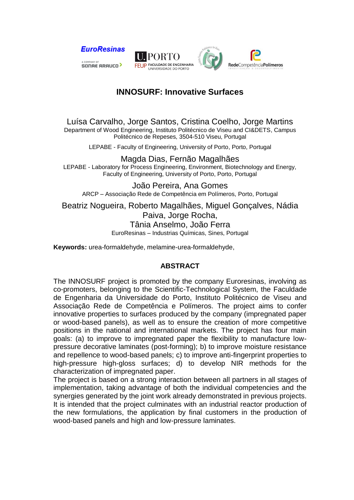

## **INNOSURF: Innovative Surfaces**

Luísa Carvalho, Jorge Santos, Cristina Coelho, Jorge Martins Department of Wood Engineering, Instituto Politécnico de Viseu and CI&DETS, Campus Politécnico de Repeses, 3504-510 Viseu, Portugal

LEPABE - Faculty of Engineering, University of Porto, Porto, Portugal

Magda Dias, Fernão Magalhães LEPABE - Laboratory for Process Engineering, Environment, Biotechnology and Energy, Faculty of Engineering, University of Porto, Porto, Portugal

João Pereira, Ana Gomes ARCP – Associação Rede de Competência em Polímeros, Porto, Portugal

Beatriz Nogueira, Roberto Magalhães, Miguel Gonçalves, Nádia Paiva, Jorge Rocha, Tânia Anselmo, João Ferra EuroResinas – Industrias Químicas, Sines, Portugal

**Keywords:** urea-formaldehyde, melamine-urea-formaldehyde,

## **ABSTRACT**

The INNOSURF project is promoted by the company Euroresinas, involving as co-promoters, belonging to the Scientific-Technological System, the Faculdade de Engenharia da Universidade do Porto, Instituto Politécnico de Viseu and Associação Rede de Competência e Polímeros. The project aims to confer innovative properties to surfaces produced by the company (impregnated paper or wood-based panels), as well as to ensure the creation of more competitive positions in the national and international markets. The project has four main goals: (a) to improve to impregnated paper the flexibility to manufacture lowpressure decorative laminates (post-forming); b) to improve moisture resistance and repellence to wood-based panels; c) to improve anti-fingerprint properties to high-pressure high-gloss surfaces; d) to develop NIR methods for the characterization of impregnated paper.

The project is based on a strong interaction between all partners in all stages of implementation, taking advantage of both the individual competencies and the synergies generated by the joint work already demonstrated in previous projects. It is intended that the project culminates with an industrial reactor production of the new formulations, the application by final customers in the production of wood-based panels and high and low-pressure laminates.